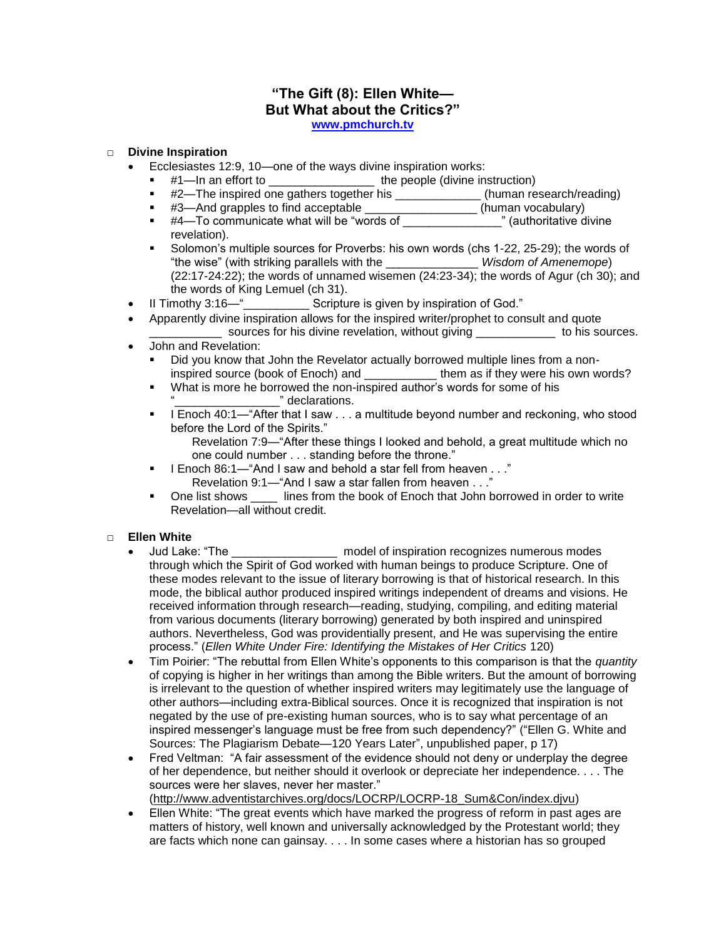# **"The Gift (8): Ellen White— But What about the Critics?"**

**[www.pmchurch.tv](http://www.pmchurch.tv/)**

## □ **Divine Inspiration**

- Ecclesiastes 12:9, 10—one of the ways divine inspiration works:
	- #1—In an effort to \_\_\_\_\_\_\_\_\_\_\_\_\_\_\_\_ the people (divine instruction)
	- #2—The inspired one gathers together his \_\_\_\_\_\_\_\_\_\_\_\_\_\_(human research/reading)
	- #3—And grapples to find acceptable \_\_\_\_\_\_\_\_\_\_\_\_\_\_\_\_\_(human vocabulary)
	- $*$  #4—To communicate what will be "words of \_\_\_\_\_\_\_\_\_\_\_\_\_\_\_" (authoritative divine revelation).
	- Solomon"s multiple sources for Proverbs: his own words (chs 1-22, 25-29); the words of "the wise" (with striking parallels with the \_\_\_\_\_\_\_\_\_\_\_\_\_\_ *Wisdom of Amenemope*) (22:17-24:22); the words of unnamed wisemen (24:23-34); the words of Agur (ch 30); and the words of King Lemuel (ch 31).
- II Timothy 3:16—"\_\_\_\_\_\_\_\_\_\_ Scripture is given by inspiration of God."
- Apparently divine inspiration allows for the inspired writer/prophet to consult and quote \_ sources for his divine revelation, without giving \_\_\_\_\_\_\_\_\_\_\_\_\_ to his sources.
- John and Revelation:
	- Did you know that John the Revelator actually borrowed multiple lines from a noninspired source (book of Enoch) and \_\_\_\_\_\_\_\_\_\_\_ them as if they were his own words?
	- What is more he borrowed the non-inspired author"s words for some of his "\_\_\_\_\_\_\_\_\_\_\_\_\_\_\_\_" declarations.
	- I Enoch  $40:1$  "After that I saw  $\ldots$  a multitude beyond number and reckoning, who stood before the Lord of the Spirits."
		- Revelation 7:9—"After these things I looked and behold, a great multitude which no one could number . . . standing before the throne."
	- I Enoch 86:1—"And I saw and behold a star fell from heaven . . ." Revelation 9:1—"And I saw a star fallen from heaven . . ."
	- One list shows lines from the book of Enoch that John borrowed in order to write Revelation—all without credit.

- □ **Ellen White** gam model of inspiration recognizes numerous modes through which the Spirit of God worked with human beings to produce Scripture. One of these modes relevant to the issue of literary borrowing is that of historical research. In this mode, the biblical author produced inspired writings independent of dreams and visions. He received information through research—reading, studying, compiling, and editing material from various documents (literary borrowing) generated by both inspired and uninspired authors. Nevertheless, God was providentially present, and He was supervising the entire process." (*Ellen White Under Fire: Identifying the Mistakes of Her Critics* 120)
	- Tim Poirier: "The rebuttal from Ellen White"s opponents to this comparison is that the *quantity* of copying is higher in her writings than among the Bible writers. But the amount of borrowing is irrelevant to the question of whether inspired writers may legitimately use the language of other authors—including extra-Biblical sources. Once it is recognized that inspiration is not negated by the use of pre-existing human sources, who is to say what percentage of an inspired messenger's language must be free from such dependency?" ("Ellen G. White and Sources: The Plagiarism Debate—120 Years Later", unpublished paper, p 17)
	- Fred Veltman: "A fair assessment of the evidence should not deny or underplay the degree of her dependence, but neither should it overlook or depreciate her independence. . . . The sources were her slaves, never her master."

[\(http://www.adventistarchives.org/docs/LOCRP/LOCRP-18\\_Sum&Con/index.djvu\)](http://www.adventistarchives.org/docs/LOCRP/LOCRP-18_Sum&Con/index.djvu)

 Ellen White: "The great events which have marked the progress of reform in past ages are matters of history, well known and universally acknowledged by the Protestant world; they are facts which none can gainsay. . . . In some cases where a historian has so grouped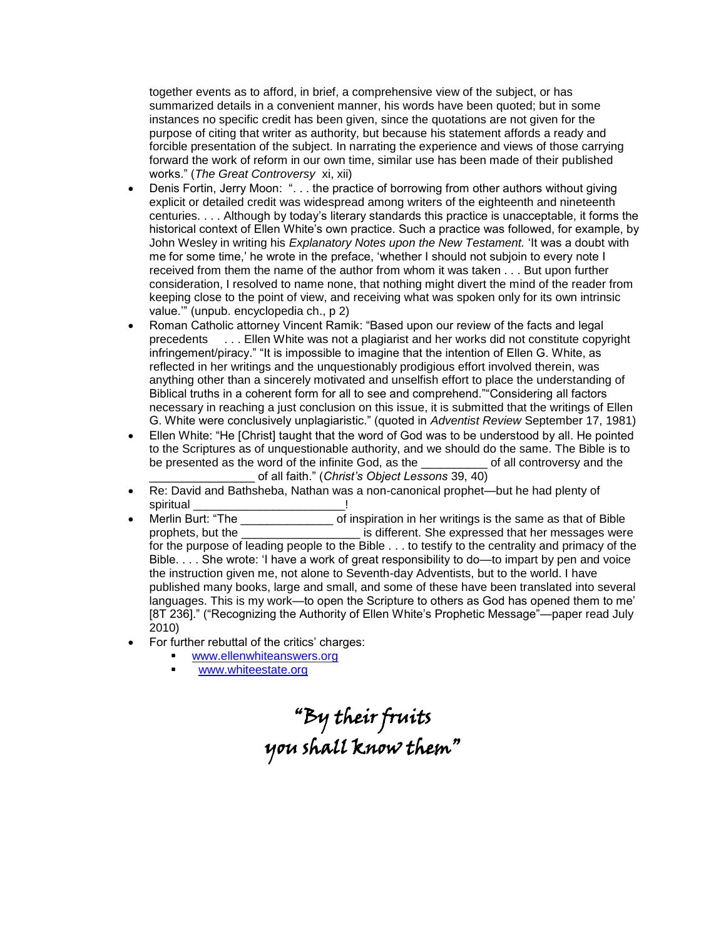together events as to afford, in brief, a comprehensive view of the subject, or has summarized details in a convenient manner, his words have been quoted; but in some instances no specific credit has been given, since the quotations are not given for the purpose of citing that writer as authority, but because his statement affords a ready and forcible presentation of the subject. In narrating the experience and views of those carrying forward the work of reform in our own time, similar use has been made of their published works." (*The Great Controversy* xi, xii)

- Denis Fortin, Jerry Moon: ". . . the practice of borrowing from other authors without giving explicit or detailed credit was widespread among writers of the eighteenth and nineteenth centuries. . . . Although by today"s literary standards this practice is unacceptable, it forms the historical context of Ellen White's own practice. Such a practice was followed, for example, by John Wesley in writing his *Explanatory Notes upon the New Testament.* "It was a doubt with me for some time," he wrote in the preface, "whether I should not subjoin to every note I received from them the name of the author from whom it was taken . . . But upon further consideration, I resolved to name none, that nothing might divert the mind of the reader from keeping close to the point of view, and receiving what was spoken only for its own intrinsic value."" (unpub. encyclopedia ch., p 2)
- Roman Catholic attorney Vincent Ramik: "Based upon our review of the facts and legal precedents . . . Ellen White was not a plagiarist and her works did not constitute copyright infringement/piracy." "It is impossible to imagine that the intention of Ellen G. White, as reflected in her writings and the unquestionably prodigious effort involved therein, was anything other than a sincerely motivated and unselfish effort to place the understanding of Biblical truths in a coherent form for all to see and comprehend.""Considering all factors necessary in reaching a just conclusion on this issue, it is submitted that the writings of Ellen G. White were conclusively unplagiaristic." (quoted in *Adventist Review* September 17, 1981)
- Ellen White: "He [Christ] taught that the word of God was to be understood by all. He pointed to the Scriptures as of unquestionable authority, and we should do the same. The Bible is to be presented as the word of the infinite God, as the example of all controversy and the \_\_\_\_\_\_\_\_\_\_\_\_\_\_\_\_ of all faith." (*Christ's Object Lessons* 39, 40)
- Re: David and Bathsheba, Nathan was a non-canonical prophet—but he had plenty of spiritual experiments of the spiritual spiritual to the set of the set of the set of the set of the set of the
- Merlin Burt: "The The The Constitution in her writings is the same as that of Bible prophets, but the \_\_\_\_\_\_\_\_\_\_\_\_\_\_\_\_\_\_ is different. She expressed that her messages were for the purpose of leading people to the Bible . . . to testify to the centrality and primacy of the Bible. . . . She wrote: "I have a work of great responsibility to do—to impart by pen and voice the instruction given me, not alone to Seventh-day Adventists, but to the world. I have published many books, large and small, and some of these have been translated into several languages. This is my work—to open the Scripture to others as God has opened them to me' [8T 236]." ("Recognizing the Authority of Ellen White's Prophetic Message"—paper read July 2010)
- For further rebuttal of the critics' charges:
	- [www.ellenwhiteanswers.org](http://www.ellenwhiteanswers.org/)
	- [www.whiteestate.org](http://www.whiteestate.org/)

"By their fruits you shall know them"